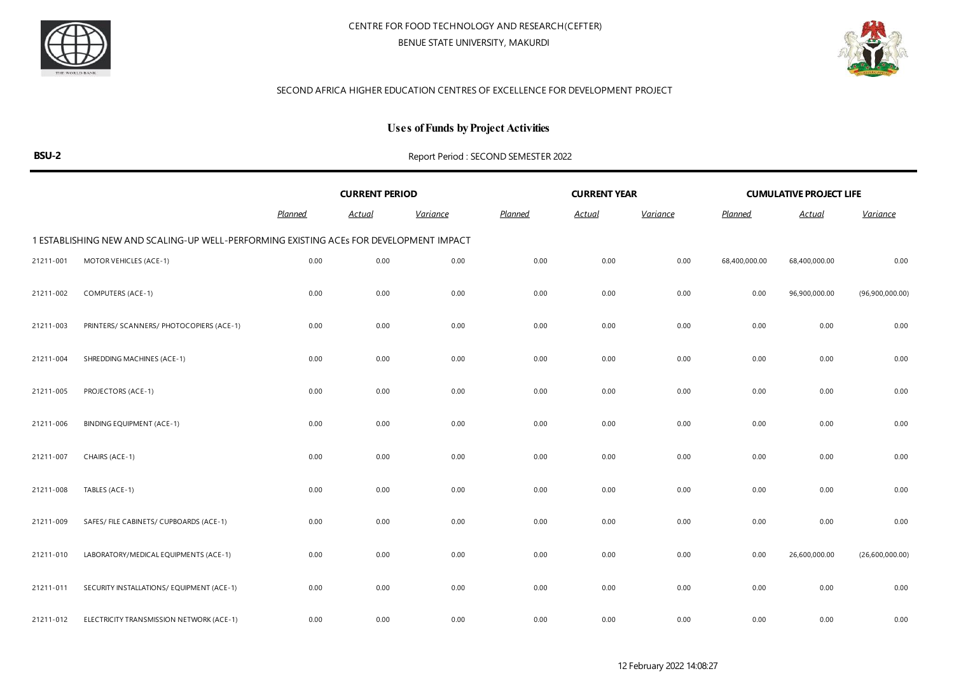



### **Uses of Funds by Project Activities**

|--|--|

|           |                                                                                        | <b>CURRENT PERIOD</b> |               |                 |                | <b>CURRENT YEAR</b> |                 |               | <b>CUMULATIVE PROJECT LIFE</b> |                 |
|-----------|----------------------------------------------------------------------------------------|-----------------------|---------------|-----------------|----------------|---------------------|-----------------|---------------|--------------------------------|-----------------|
|           |                                                                                        | <b>Planned</b>        | <u>Actual</u> | <b>Variance</b> | <b>Planned</b> | <b>Actual</b>       | <b>Variance</b> | Planned       | <u>Actual</u>                  | Variance        |
|           | 1 ESTABLISHING NEW AND SCALING-UP WELL-PERFORMING EXISTING ACES FOR DEVELOPMENT IMPACT |                       |               |                 |                |                     |                 |               |                                |                 |
| 21211-001 | MOTOR VEHICLES (ACE-1)                                                                 | 0.00                  | 0.00          | 0.00            | 0.00           | 0.00                | 0.00            | 68,400,000.00 | 68,400,000.00                  | 0.00            |
| 21211-002 | COMPUTERS (ACE-1)                                                                      | 0.00                  | 0.00          | 0.00            | 0.00           | 0.00                | 0.00            | 0.00          | 96,900,000.00                  | (96,900,000.00) |
| 21211-003 | PRINTERS/ SCANNERS/ PHOTOCOPIERS (ACE-1)                                               | 0.00                  | 0.00          | 0.00            | 0.00           | 0.00                | 0.00            | 0.00          | 0.00                           | 0.00            |
| 21211-004 | SHREDDING MACHINES (ACE-1)                                                             | 0.00                  | 0.00          | 0.00            | 0.00           | 0.00                | 0.00            | 0.00          | 0.00                           | 0.00            |
| 21211-005 | PROJECTORS (ACE-1)                                                                     | 0.00                  | 0.00          | 0.00            | 0.00           | 0.00                | 0.00            | 0.00          | 0.00                           | 0.00            |
| 21211-006 | BINDING EQUIPMENT (ACE-1)                                                              | 0.00                  | 0.00          | 0.00            | 0.00           | 0.00                | 0.00            | 0.00          | 0.00                           | 0.00            |
| 21211-007 | CHAIRS (ACE-1)                                                                         | 0.00                  | 0.00          | 0.00            | 0.00           | 0.00                | 0.00            | 0.00          | 0.00                           | 0.00            |
| 21211-008 | TABLES (ACE-1)                                                                         | 0.00                  | 0.00          | 0.00            | 0.00           | 0.00                | 0.00            | 0.00          | 0.00                           | 0.00            |
| 21211-009 | SAFES/ FILE CABINETS/ CUPBOARDS (ACE-1)                                                | 0.00                  | 0.00          | 0.00            | 0.00           | 0.00                | 0.00            | 0.00          | 0.00                           | 0.00            |
| 21211-010 | LABORATORY/MEDICAL EQUIPMENTS (ACE-1)                                                  | 0.00                  | 0.00          | 0.00            | 0.00           | 0.00                | 0.00            | 0.00          | 26,600,000.00                  | (26,600,000.00) |
| 21211-011 | SECURITY INSTALLATIONS/ EQUIPMENT (ACE-1)                                              | 0.00                  | 0.00          | 0.00            | 0.00           | 0.00                | 0.00            | 0.00          | 0.00                           | 0.00            |
| 21211-012 | ELECTRICITY TRANSMISSION NETWORK (ACE-1)                                               | 0.00                  | 0.00          | 0.00            | 0.00           | 0.00                | 0.00            | 0.00          | 0.00                           | 0.00            |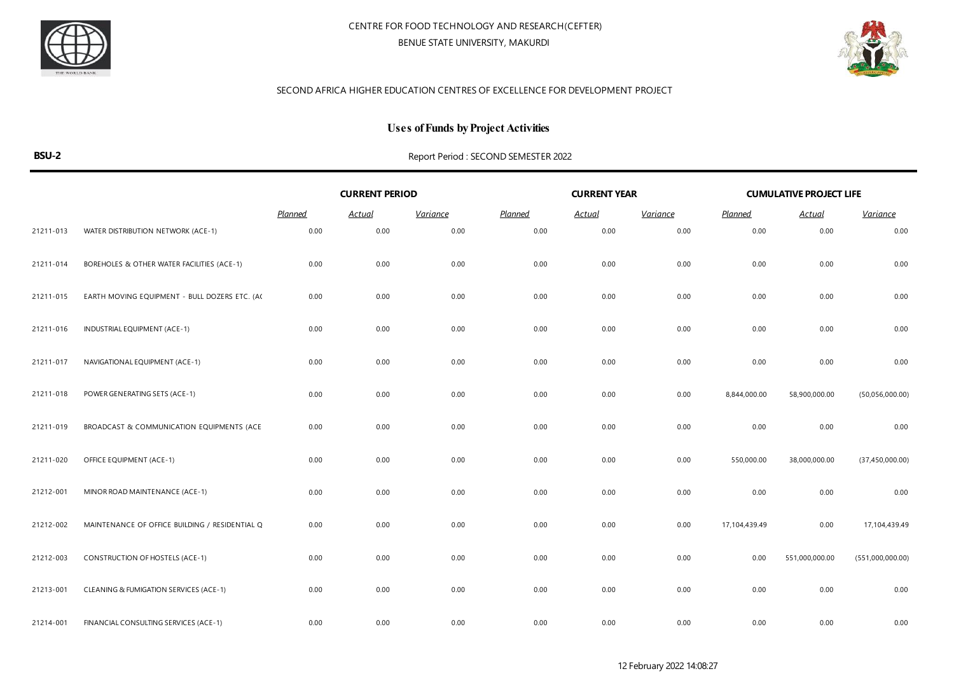



### **Uses of Funds by Project Activities**

|           |                                                | <b>CURRENT PERIOD</b> |               |                 |                | <b>CURRENT YEAR</b> |                 |                | <b>CUMULATIVE PROJECT LIFE</b> |                   |
|-----------|------------------------------------------------|-----------------------|---------------|-----------------|----------------|---------------------|-----------------|----------------|--------------------------------|-------------------|
|           |                                                | <b>Planned</b>        | <u>Actual</u> | <u>Variance</u> | <b>Planned</b> | <u>Actual</u>       | <b>Variance</b> | <b>Planned</b> | <u>Actual</u>                  | <b>Variance</b>   |
| 21211-013 | WATER DISTRIBUTION NETWORK (ACE-1)             | 0.00                  | 0.00          | 0.00            | 0.00           | 0.00                | 0.00            | 0.00           | 0.00                           | 0.00              |
| 21211-014 | BOREHOLES & OTHER WATER FACILITIES (ACE-1)     | 0.00                  | 0.00          | 0.00            | 0.00           | 0.00                | 0.00            | 0.00           | 0.00                           | 0.00              |
| 21211-015 | EARTH MOVING EQUIPMENT - BULL DOZERS ETC. (AC  | 0.00                  | 0.00          | 0.00            | 0.00           | 0.00                | 0.00            | 0.00           | 0.00                           | 0.00              |
| 21211-016 | INDUSTRIAL EQUIPMENT (ACE-1)                   | 0.00                  | 0.00          | 0.00            | 0.00           | 0.00                | 0.00            | 0.00           | 0.00                           | 0.00              |
| 21211-017 | NAVIGATIONAL EQUIPMENT (ACE-1)                 | 0.00                  | 0.00          | 0.00            | 0.00           | 0.00                | 0.00            | 0.00           | 0.00                           | 0.00              |
| 21211-018 | POWER GENERATING SETS (ACE-1)                  | 0.00                  | 0.00          | 0.00            | 0.00           | 0.00                | 0.00            | 8,844,000.00   | 58,900,000.00                  | (50,056,000.00)   |
| 21211-019 | BROADCAST & COMMUNICATION EQUIPMENTS (ACE      | 0.00                  | 0.00          | 0.00            | 0.00           | 0.00                | 0.00            | 0.00           | 0.00                           | 0.00              |
| 21211-020 | OFFICE EQUIPMENT (ACE-1)                       | 0.00                  | 0.00          | 0.00            | 0.00           | 0.00                | 0.00            | 550,000.00     | 38,000,000.00                  | (37, 450, 000.00) |
| 21212-001 | MINOR ROAD MAINTENANCE (ACE-1)                 | 0.00                  | 0.00          | 0.00            | 0.00           | 0.00                | 0.00            | 0.00           | 0.00                           | 0.00              |
| 21212-002 | MAINTENANCE OF OFFICE BUILDING / RESIDENTIAL Q | 0.00                  | 0.00          | 0.00            | 0.00           | 0.00                | 0.00            | 17,104,439.49  | 0.00                           | 17,104,439.49     |
| 21212-003 | <b>CONSTRUCTION OF HOSTELS (ACE-1)</b>         | 0.00                  | 0.00          | 0.00            | 0.00           | 0.00                | 0.00            | 0.00           | 551,000,000.00                 | (551,000,000.00)  |
| 21213-001 | CLEANING & FUMIGATION SERVICES (ACE-1)         | 0.00                  | 0.00          | 0.00            | 0.00           | 0.00                | 0.00            | 0.00           | 0.00                           | 0.00              |
| 21214-001 | FINANCIAL CONSULTING SERVICES (ACE-1)          | 0.00                  | 0.00          | 0.00            | 0.00           | 0.00                | 0.00            | 0.00           | 0.00                           | 0.00              |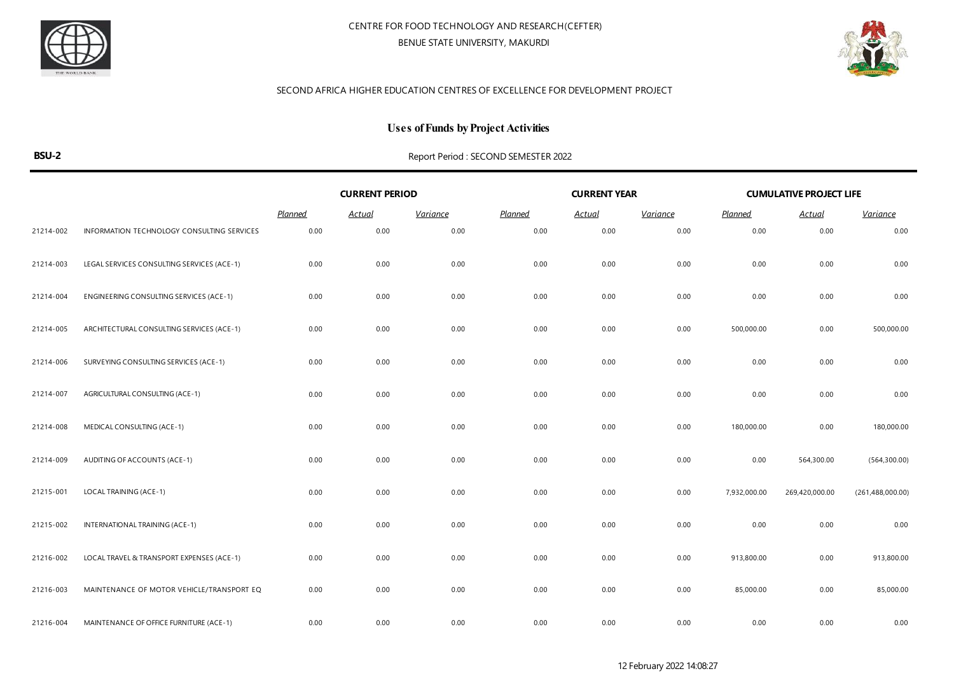



### **Uses of Funds by Project Activities**

|           |                                            | <b>CURRENT PERIOD</b> |               |                 |         | <b>CURRENT YEAR</b> |                 | <b>CUMULATIVE PROJECT LIFE</b> |                |                    |
|-----------|--------------------------------------------|-----------------------|---------------|-----------------|---------|---------------------|-----------------|--------------------------------|----------------|--------------------|
|           |                                            | <b>Planned</b>        | <b>Actual</b> | <b>Variance</b> | Planned | <b>Actual</b>       | <u>Variance</u> | <b>Planned</b>                 | <u>Actual</u>  | <b>Variance</b>    |
| 21214-002 | INFORMATION TECHNOLOGY CONSULTING SERVICES | 0.00                  | 0.00          | 0.00            | 0.00    | 0.00                | 0.00            | 0.00                           | 0.00           | 0.00               |
| 21214-003 | LEGAL SERVICES CONSULTING SERVICES (ACE-1) | 0.00                  | 0.00          | 0.00            | 0.00    | 0.00                | 0.00            | 0.00                           | 0.00           | 0.00               |
| 21214-004 | ENGINEERING CONSULTING SERVICES (ACE-1)    | 0.00                  | 0.00          | 0.00            | 0.00    | 0.00                | 0.00            | 0.00                           | 0.00           | 0.00               |
| 21214-005 | ARCHITECTURAL CONSULTING SERVICES (ACE-1)  | 0.00                  | 0.00          | 0.00            | 0.00    | 0.00                | 0.00            | 500,000.00                     | 0.00           | 500,000.00         |
| 21214-006 | SURVEYING CONSULTING SERVICES (ACE-1)      | 0.00                  | 0.00          | 0.00            | 0.00    | 0.00                | 0.00            | 0.00                           | 0.00           | 0.00               |
| 21214-007 | AGRICULTURAL CONSULTING (ACE-1)            | 0.00                  | 0.00          | 0.00            | 0.00    | 0.00                | 0.00            | 0.00                           | 0.00           | 0.00               |
| 21214-008 | MEDICAL CONSULTING (ACE-1)                 | 0.00                  | 0.00          | 0.00            | 0.00    | 0.00                | 0.00            | 180,000.00                     | 0.00           | 180,000.00         |
| 21214-009 | AUDITING OF ACCOUNTS (ACE-1)               | 0.00                  | 0.00          | 0.00            | 0.00    | 0.00                | 0.00            | 0.00                           | 564,300.00     | (564, 300.00)      |
| 21215-001 | LOCAL TRAINING (ACE-1)                     | 0.00                  | 0.00          | 0.00            | 0.00    | 0.00                | 0.00            | 7,932,000.00                   | 269,420,000.00 | (261, 488, 000.00) |
| 21215-002 | INTERNATIONAL TRAINING (ACE-1)             | 0.00                  | 0.00          | 0.00            | 0.00    | 0.00                | 0.00            | 0.00                           | 0.00           | 0.00               |
| 21216-002 | LOCAL TRAVEL & TRANSPORT EXPENSES (ACE-1)  | 0.00                  | 0.00          | 0.00            | 0.00    | 0.00                | 0.00            | 913,800.00                     | 0.00           | 913,800.00         |
| 21216-003 | MAINTENANCE OF MOTOR VEHICLE/TRANSPORT EQ  | 0.00                  | 0.00          | 0.00            | 0.00    | 0.00                | 0.00            | 85,000.00                      | 0.00           | 85,000.00          |
| 21216-004 | MAINTENANCE OF OFFICE FURNITURE (ACE-1)    | 0.00                  | 0.00          | 0.00            | 0.00    | 0.00                | 0.00            | 0.00                           | 0.00           | 0.00               |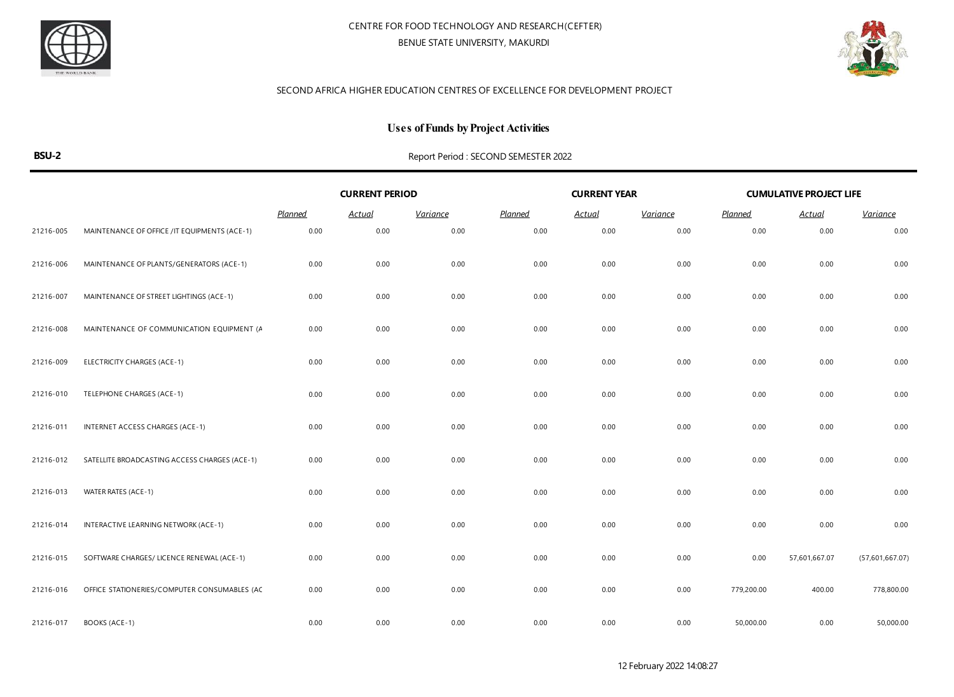



### **Uses of Funds by Project Activities**

|           |                                               | <b>CURRENT PERIOD</b> |               |                 |                | <b>CURRENT YEAR</b> |                 | <b>CUMULATIVE PROJECT LIFE</b> |               |                 |  |
|-----------|-----------------------------------------------|-----------------------|---------------|-----------------|----------------|---------------------|-----------------|--------------------------------|---------------|-----------------|--|
|           |                                               | <b>Planned</b>        | <b>Actual</b> | <b>Variance</b> | <b>Planned</b> | <u>Actual</u>       | <u>Variance</u> | <b>Planned</b>                 | <b>Actual</b> | <b>Variance</b> |  |
| 21216-005 | MAINTENANCE OF OFFICE / IT EQUIPMENTS (ACE-1) | 0.00                  | 0.00          | 0.00            | 0.00           | 0.00                | 0.00            | 0.00                           | 0.00          | 0.00            |  |
| 21216-006 | MAINTENANCE OF PLANTS/GENERATORS (ACE-1)      | 0.00                  | 0.00          | 0.00            | 0.00           | 0.00                | 0.00            | 0.00                           | 0.00          | 0.00            |  |
| 21216-007 | MAINTENANCE OF STREET LIGHTINGS (ACE-1)       | 0.00                  | 0.00          | 0.00            | 0.00           | 0.00                | 0.00            | 0.00                           | 0.00          | 0.00            |  |
| 21216-008 | MAINTENANCE OF COMMUNICATION EQUIPMENT (A     | 0.00                  | 0.00          | 0.00            | 0.00           | 0.00                | 0.00            | 0.00                           | 0.00          | 0.00            |  |
| 21216-009 | ELECTRICITY CHARGES (ACE-1)                   | 0.00                  | 0.00          | 0.00            | 0.00           | 0.00                | 0.00            | 0.00                           | 0.00          | 0.00            |  |
| 21216-010 | TELEPHONE CHARGES (ACE-1)                     | 0.00                  | 0.00          | 0.00            | 0.00           | 0.00                | 0.00            | 0.00                           | 0.00          | 0.00            |  |
| 21216-011 | INTERNET ACCESS CHARGES (ACE-1)               | 0.00                  | 0.00          | 0.00            | 0.00           | 0.00                | 0.00            | 0.00                           | 0.00          | 0.00            |  |
| 21216-012 | SATELLITE BROADCASTING ACCESS CHARGES (ACE-1) | 0.00                  | 0.00          | 0.00            | 0.00           | 0.00                | 0.00            | 0.00                           | 0.00          | 0.00            |  |
| 21216-013 | WATER RATES (ACE-1)                           | 0.00                  | 0.00          | 0.00            | 0.00           | 0.00                | 0.00            | 0.00                           | 0.00          | 0.00            |  |
| 21216-014 | INTERACTIVE LEARNING NETWORK (ACE-1)          | 0.00                  | 0.00          | 0.00            | 0.00           | 0.00                | 0.00            | 0.00                           | 0.00          | 0.00            |  |
| 21216-015 | SOFTWARE CHARGES/ LICENCE RENEWAL (ACE-1)     | 0.00                  | 0.00          | 0.00            | 0.00           | 0.00                | 0.00            | 0.00                           | 57,601,667.07 | (57,601,667.07) |  |
| 21216-016 | OFFICE STATIONERIES/COMPUTER CONSUMABLES (AC  | 0.00                  | 0.00          | 0.00            | 0.00           | 0.00                | 0.00            | 779,200.00                     | 400.00        | 778,800.00      |  |
| 21216-017 | BOOKS (ACE-1)                                 | 0.00                  | 0.00          | 0.00            | 0.00           | 0.00                | 0.00            | 50,000.00                      | 0.00          | 50,000.00       |  |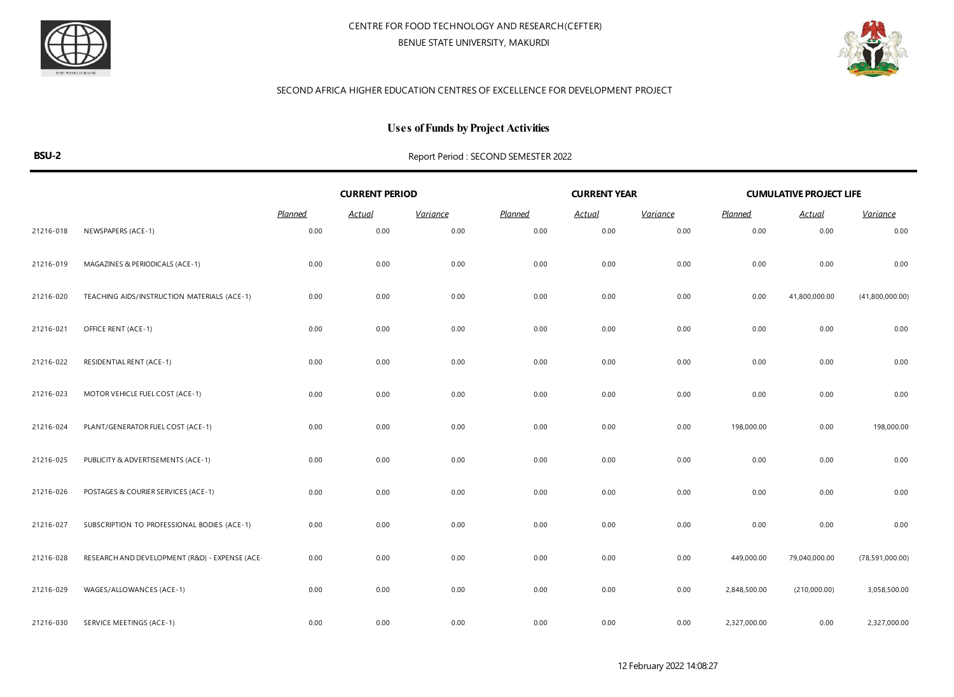



### **Uses of Funds by Project Activities**

|           |                                                | <b>CURRENT PERIOD</b> |               |                 |         | <b>CURRENT YEAR</b> |                 | <b>CUMULATIVE PROJECT LIFE</b> |               |                   |  |
|-----------|------------------------------------------------|-----------------------|---------------|-----------------|---------|---------------------|-----------------|--------------------------------|---------------|-------------------|--|
|           |                                                | Planned               | <b>Actual</b> | <b>Variance</b> | Planned | <u>Actual</u>       | <b>Variance</b> | <b>Planned</b>                 | <b>Actual</b> | Variance          |  |
| 21216-018 | NEWSPAPERS (ACE-1)                             | 0.00                  | 0.00          | 0.00            | 0.00    | 0.00                | 0.00            | 0.00                           | 0.00          | 0.00              |  |
| 21216-019 | MAGAZINES & PERIODICALS (ACE-1)                | 0.00                  | 0.00          | 0.00            | 0.00    | 0.00                | 0.00            | 0.00                           | 0.00          | 0.00              |  |
| 21216-020 | TEACHING AIDS/INSTRUCTION MATERIALS (ACE-1)    | 0.00                  | 0.00          | 0.00            | 0.00    | 0.00                | 0.00            | 0.00                           | 41,800,000.00 | (41,800,000.00)   |  |
| 21216-021 | OFFICE RENT (ACE-1)                            | 0.00                  | 0.00          | 0.00            | 0.00    | 0.00                | 0.00            | 0.00                           | 0.00          | 0.00              |  |
| 21216-022 | <b>RESIDENTIAL RENT (ACE-1)</b>                | 0.00                  | 0.00          | 0.00            | 0.00    | 0.00                | 0.00            | 0.00                           | 0.00          | 0.00              |  |
| 21216-023 | MOTOR VEHICLE FUEL COST (ACE-1)                | 0.00                  | 0.00          | 0.00            | 0.00    | 0.00                | 0.00            | 0.00                           | 0.00          | 0.00              |  |
| 21216-024 | PLANT/GENERATOR FUEL COST (ACE-1)              | 0.00                  | 0.00          | 0.00            | 0.00    | 0.00                | 0.00            | 198,000.00                     | 0.00          | 198,000.00        |  |
| 21216-025 | PUBLICITY & ADVERTISEMENTS (ACE-1)             | 0.00                  | 0.00          | 0.00            | 0.00    | 0.00                | 0.00            | 0.00                           | 0.00          | 0.00              |  |
| 21216-026 | POSTAGES & COURIER SERVICES (ACE-1)            | 0.00                  | 0.00          | 0.00            | 0.00    | 0.00                | 0.00            | 0.00                           | 0.00          | 0.00              |  |
| 21216-027 | SUBSCRIPTION TO PROFESSIONAL BODIES (ACE-1)    | 0.00                  | 0.00          | 0.00            | 0.00    | 0.00                | 0.00            | 0.00                           | 0.00          | 0.00              |  |
| 21216-028 | RESEARCH AND DEVELOPMENT (R&D) - EXPENSE (ACE- | 0.00                  | 0.00          | 0.00            | 0.00    | 0.00                | 0.00            | 449,000.00                     | 79,040,000.00 | (78, 591, 000.00) |  |
| 21216-029 | WAGES/ALLOWANCES (ACE-1)                       | 0.00                  | 0.00          | 0.00            | 0.00    | 0.00                | 0.00            | 2,848,500.00                   | (210,000.00)  | 3,058,500.00      |  |
| 21216-030 | SERVICE MEETINGS (ACE-1)                       | 0.00                  | 0.00          | 0.00            | 0.00    | 0.00                | 0.00            | 2,327,000.00                   | 0.00          | 2,327,000.00      |  |